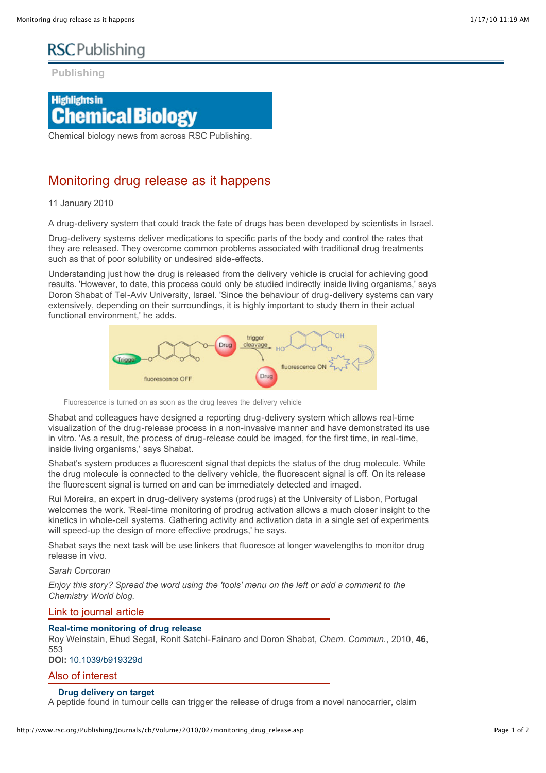# **RSC**Publishing

**Publishing**

# **Highlights in Chemical Biology**

Chemical biology news from across RSC Publishing.

### Monitoring drug release as it happens

#### 11 January 2010

A drug-delivery system that could track the fate of drugs has been developed by scientists in Israel.

Drug-delivery systems deliver medications to specific parts of the body and control the rates that they are released. They overcome common problems associated with traditional drug treatments such as that of poor solubility or undesired side-effects.

Understanding just how the drug is released from the delivery vehicle is crucial for achieving good results. 'However, to date, this process could only be studied indirectly inside living organisms,' says Doron Shabat of Tel-Aviv University, Israel. 'Since the behaviour of drug-delivery systems can vary extensively, depending on their surroundings, it is highly important to study them in their actual functional environment,' he adds.



Fluorescence is turned on as soon as the drug leaves the delivery vehicle

Shabat and colleagues have designed a reporting drug-delivery system which allows real-time visualization of the drug-release process in a non-invasive manner and have demonstrated its use in vitro. 'As a result, the process of drug-release could be imaged, for the first time, in real-time, inside living organisms,' says Shabat.

Shabat's system produces a fluorescent signal that depicts the status of the drug molecule. While the drug molecule is connected to the delivery vehicle, the fluorescent signal is off. On its release the fluorescent signal is turned on and can be immediately detected and imaged.

Rui Moreira, an expert in drug-delivery systems (prodrugs) at the University of Lisbon, Portugal welcomes the work. 'Real-time monitoring of prodrug activation allows a much closer insight to the kinetics in whole-cell systems. Gathering activity and activation data in a single set of experiments will speed-up the design of more effective prodrugs,' he says.

Shabat says the next task will be use linkers that fluoresce at longer wavelengths to monitor drug release in vivo.

#### *Sarah Corcoran*

*Enjoy this story? Spread the word using the 'tools' menu on the left or add a comment to the Chemistry World blog.*

#### Link to journal article

#### **[Real-time monitoring of drug release](http://www.rsc.org/Publishing/Journals/CC/article.asp?doi=b919329d)**

Roy Weinstain, Ehud Segal, Ronit Satchi-Fainaro and Doron Shabat, *Chem. Commun.*, 2010, **46**, 553

### **DOI:** [10.1039/b919329d](http://www.rsc.org/Publishing/Journals/CC/article.asp?doi=b919329d)

#### Also of interest

#### **[Drug delivery on target](http://www.rsc.org/Publishing/ChemTech/Volume/2009/01/drug_delivery.asp)**

A peptide found in tumour cells can trigger the release of drugs from a novel nanocarrier, claim